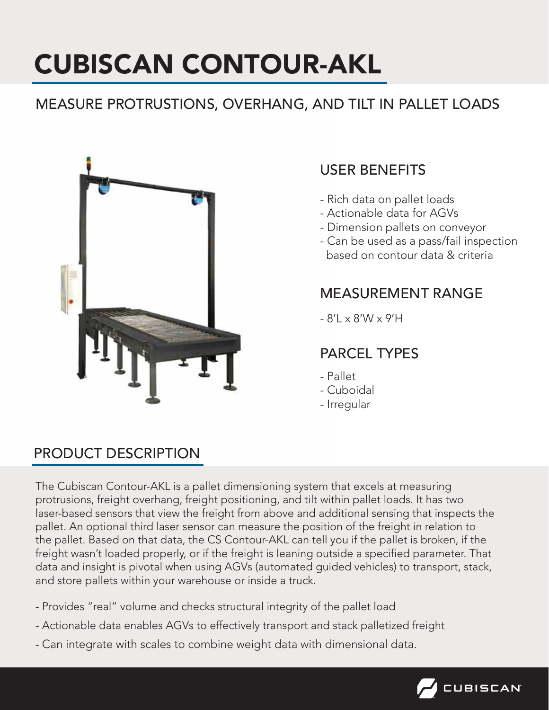# CUBISCAN CONTOUR-AKL

# MEASURE PROTRUSTIONS, OVERHANG, AND TILT IN PALLET LOADS



# USER BENEFITS

- Rich data on pallet loads
- Actionable data for AGVs
- Dimension pallets on conveyor
- Can be used as a pass/fail inspection based on contour data & criteria

#### MEASUREMENT RANGE

 $- 8'$   $\times 8'$   $\times 9'$   $+ 1$ 

## PARCEL TYPES

- Pallet
- Cuboidal
- Irregular

## PRODUCT DESCRIPTION

The Cubiscan Contour-AKL is a pallet dimensioning system that excels at measuring protrusions, freight overhang, freight positioning, and tilt within pallet loads. It has two laser-based sensors that view the freight from above and additional sensing that inspects the pallet. An optional third laser sensor can measure the position of the freight in relation to the pallet. Based on that data, the CS Contour-AKL can tell you if the pallet is broken, if the freight wasn't loaded properly, or if the freight is leaning outside a specified parameter. That data and insight is pivotal when using AGVs (automated guided vehicles) to transport, stack, and store pallets within your warehouse or inside a truck.

- Provides "real" volume and checks structural integrity of the pallet load
- Actionable data enables AGVs to effectively transport and stack palletized freight
- Can integrate with scales to combine weight data with dimensional data.